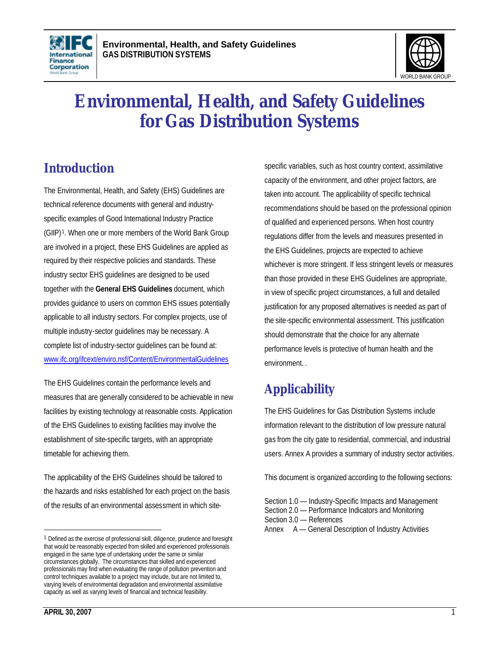



# **Environmental, Health, and Safety Guidelines for Gas Distribution Systems**

# **Introduction**

The Environmental, Health, and Safety (EHS) Guidelines are technical reference documents with general and industryspecific examples of Good International Industry Practice (GIIP) <sup>1</sup> . When one or more members of the World Bank Group are involved in a project, these EHS Guidelines are applied as required by their respective policies and standards. These industry sector EHS guidelines are designed to be used together with the **General EHS Guidelines** document, which provides guidance to users on common EHS issues potentially applicable to all industry sectors. For complex projects, use of multiple industry-sector guidelines may be necessary. A complete list of industry-sector guidelines can be found at: www.ifc.org/ifcext/enviro.nsf/Content/EnvironmentalGuidelines

The EHS Guidelines contain the performance levels and measures that are generally considered to be achievable in new facilities by existing technology at reasonable costs. Application of the EHS Guidelines to existing facilities may involve the establishment of site-specific targets, with an appropriate timetable for achieving them.

The applicability of the EHS Guidelines should be tailored to the hazards and risks established for each project on the basis of the results of an environmental assessment in which site-

specific variables, such as host country context, assimilative capacity of the environment, and other project factors, are taken into account. The applicability of specific technical recommendations should be based on the professional opinion of qualified and experienced persons. When host country regulations differ from the levels and measures presented in the EHS Guidelines, projects are expected to achieve whichever is more stringent. If less stringent levels or measures than those provided in these EHS Guidelines are appropriate, in view of specific project circumstances, a full and detailed justification for any proposed alternatives is needed as part of the site-specific environmental assessment. This justification should demonstrate that the choice for any alternate performance levels is protective of human health and the environment. .

# **Applicability**

The EHS Guidelines for Gas Distribution Systems include information relevant to the distribution of low pressure natural gas from the city gate to residential, commercial, and industrial users. Annex A provides a summary of industry sector activities.

This document is organized according to the following sections:

- Section 1.0 Industry-Specific Impacts and Management Section 2.0 — Performance Indicators and Monitoring
- Section 3.0 References
- Annex A General Description of Industry Activities

<sup>1</sup> Defined as the exercise of professional skill, diligence, prudence and foresight that would be reasonably expected from skilled and experienced professionals engaged in the same type of undertaking under the same or similar circumstances globally. The circumstances that skilled and experienced professionals may find when evaluating the range of pollution prevention and control techniques available to a project may include, but are not limited to, varying levels of environmental degradation and environmental assimilative capacity as well as varying levels of financial and technical feasibility.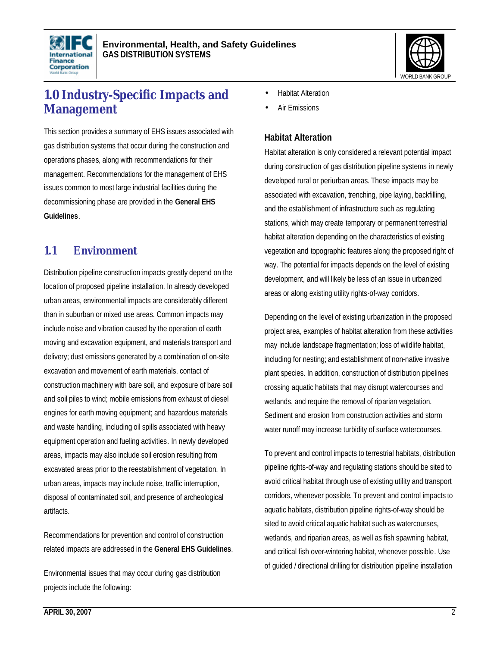



# **1.0 Industry-Specific Impacts and Management**

This section provides a summary of EHS issues associated with gas distribution systems that occur during the construction and operations phases, along with recommendations for their management. Recommendations for the management of EHS issues common to most large industrial facilities during the decommissioning phase are provided in the **General EHS Guidelines**.

### **1.1 Environment**

Distribution pipeline construction impacts greatly depend on the location of proposed pipeline installation. In already developed urban areas, environmental impacts are considerably different than in suburban or mixed use areas. Common impacts may include noise and vibration caused by the operation of earth moving and excavation equipment, and materials transport and delivery; dust emissions generated by a combination of on-site excavation and movement of earth materials, contact of construction machinery with bare soil, and exposure of bare soil and soil piles to wind; mobile emissions from exhaust of diesel engines for earth moving equipment; and hazardous materials and waste handling, including oil spills associated with heavy equipment operation and fueling activities. In newly developed areas, impacts may also include soil erosion resulting from excavated areas prior to the reestablishment of vegetation. In urban areas, impacts may include noise, traffic interruption, disposal of contaminated soil, and presence of archeological artifacts.

Recommendations for prevention and control of construction related impacts are addressed in the **General EHS Guidelines**.

Environmental issues that may occur during gas distribution projects include the following:

- Habitat Alteration
- Air Emissions

#### **Habitat Alteration**

Habitat alteration is only considered a relevant potential impact during construction of gas distribution pipeline systems in newly developed rural or periurban areas. These impacts may be associated with excavation, trenching, pipe laying, backfilling, and the establishment of infrastructure such as regulating stations, which may create temporary or permanent terrestrial habitat alteration depending on the characteristics of existing vegetation and topographic features along the proposed right of way. The potential for impacts depends on the level of existing development, and will likely be less of an issue in urbanized areas or along existing utility rights-of-way corridors.

Depending on the level of existing urbanization in the proposed project area, examples of habitat alteration from these activities may include landscape fragmentation; loss of wildlife habitat, including for nesting; and establishment of non-native invasive plant species. In addition, construction of distribution pipelines crossing aquatic habitats that may disrupt watercourses and wetlands, and require the removal of riparian vegetation. Sediment and erosion from construction activities and storm water runoff may increase turbidity of surface watercourses.

To prevent and control impacts to terrestrial habitats, distribution pipeline rights-of-way and regulating stations should be sited to avoid critical habitat through use of existing utility and transport corridors, whenever possible. To prevent and control impacts to aquatic habitats, distribution pipeline rights-of-way should be sited to avoid critical aquatic habitat such as watercourses, wetlands, and riparian areas, as well as fish spawning habitat, and critical fish over-wintering habitat, whenever possible. Use of guided / directional drilling for distribution pipeline installation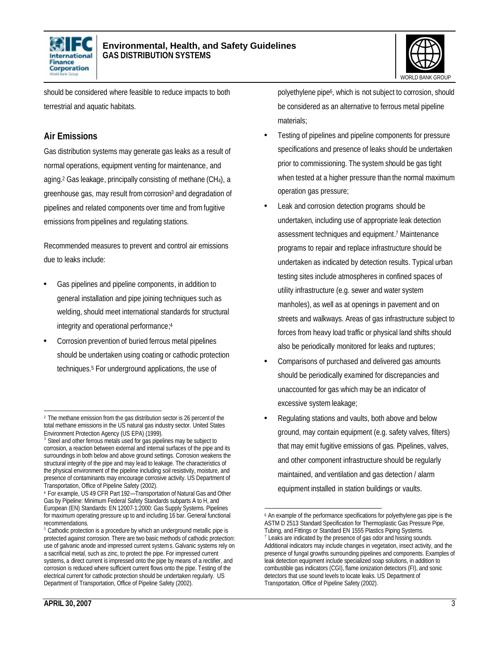



should be considered where feasible to reduce impacts to both terrestrial and aquatic habitats.

#### **Air Emissions**

Gas distribution systems may generate gas leaks as a result of normal operations, equipment venting for maintenance, and aging.<sup>2</sup> Gas leakage, principally consisting of methane (CH4), a greenhouse gas, may result from corrosion<sup>3</sup> and degradation of pipelines and related components over time and from fugitive emissions from pipelines and regulating stations.

Recommended measures to prevent and control air emissions due to leaks include:

- Gas pipelines and pipeline components, in addition to general installation and pipe joining techniques such as welding, should meet international standards for structural integrity and operational performance; 4
- Corrosion prevention of buried ferrous metal pipelines should be undertaken using coating or cathodic protection techniques.<sup>5</sup> For underground applications, the use of

polyethylene pipe<sup>6</sup> , which is not subject to corrosion, should be considered as an alternative to ferrous metal pipeline materials;

- Testing of pipelines and pipeline components for pressure specifications and presence of leaks should be undertaken prior to commissioning. The system should be gas tight when tested at a higher pressure than the normal maximum operation gas pressure;
- Leak and corrosion detection programs should be undertaken, including use of appropriate leak detection assessment techniques and equipment. <sup>7</sup> Maintenance programs to repair and replace infrastructure should be undertaken as indicated by detection results. Typical urban testing sites include atmospheres in confined spaces of utility infrastructure (e.g. sewer and water system manholes), as well as at openings in pavement and on streets and walkways. Areas of gas infrastructure subject to forces from heavy load traffic or physical land shifts should also be periodically monitored for leaks and ruptures;
- Comparisons of purchased and delivered gas amounts should be periodically examined for discrepancies and unaccounted for gas which may be an indicator of excessive system leakage;
- Regulating stations and vaults, both above and below ground, may contain equipment (e.g. safety valves, filters) that may emit fugitive emissions of gas. Pipelines, valves, and other component infrastructure should be regularly maintained, and ventilation and gas detection / alarm equipment installed in station buildings or vaults.

 $\overline{a}$ <sup>2</sup> The methane emission from the gas distribution sector is 26 percent of the total methane emissions in the US natural gas industry sector. United States Environment Protection Agency (US EPA) (1999).

<sup>&</sup>lt;sup>3</sup> Steel and other ferrous metals used for gas pipelines may be subject to corrosion, a reaction between external and internal surfaces of the pipe and its surroundings in both below and above ground settings. Corrosion weakens the structural integrity of the pipe and may lead to leakage. The characteristics of the physical environment of the pipeline including soil resistivity, moisture, and presence of contaminants may encourage corrosive activity. US Department of Transportation, Office of Pipeline Safety (2002).

<sup>4</sup> For example, US 49 CFR Part 192—Transportation of Natural Gas and Other Gas by Pipeline: Minimum Federal Safety Standards subparts A to H, and European (EN) Standards: EN 12007-1:2000: Gas Supply Systems. Pipelines for maximum operating pressure up to and including 16 bar. General functional recommendations.

<sup>&</sup>lt;sup>5</sup> Cathodic protection is a procedure by which an underground metallic pipe is protected against corrosion. There are two basic methods of cathodic protection: use of galvanic anode and impressed current systems. Galvanic systems rely on a sacrificial metal, such as zinc, to protect the pipe. For impressed current systems, a direct current is impressed onto the pipe by means of a rectifier, and corrosion is reduced where sufficient current flows onto the pipe. Testing of the electrical current for cathodic protection should be undertaken regularly. US Department of Transportation, Office of Pipeline Safety (2002).

 $\overline{a}$ <sup>6</sup> An example of the performance specifications for polyethylene gas pipe is the ASTM D 2513 Standard Specification for Thermoplastic Gas Pressure Pipe, Tubing, and Fittings or Standard EN 1555 Plastics Piping Systems. 7 Leaks are indicated by the presence of gas odor and hissing sounds. Additional indicators may include changes in vegetation, insect activity, and the presence of fungal growths surrounding pipelines and components. Examples of leak detection equipment include specialized soap solutions, in addition to combustible gas indicators (CGI), flame ionization detectors (FI), and sonic detectors that use sound levels to locate leaks. US Department of Transportation, Office of Pipeline Safety (2002).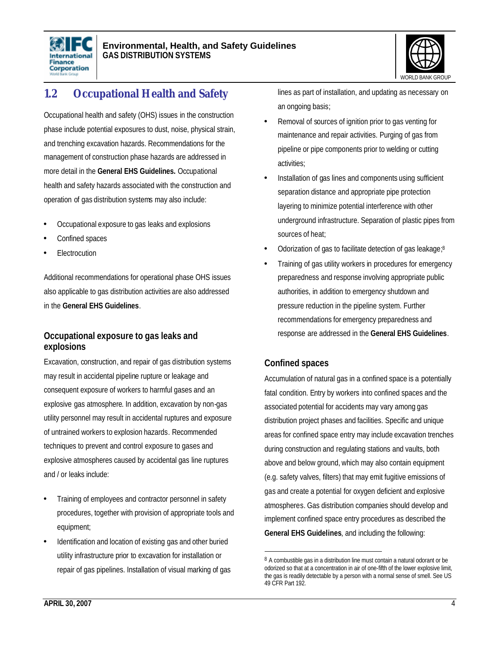



### **1.2 Occupational Health and Safety**

Occupational health and safety (OHS) issues in the construction phase include potential exposures to dust, noise, physical strain, and trenching excavation hazards. Recommendations for the management of construction phase hazards are addressed in more detail in the **General EHS Guidelines.** Occupational health and safety hazards associated with the construction and operation of gas distribution systems may also include:

- Occupational exposure to gas leaks and explosions
- Confined spaces
- **Electrocution**

Additional recommendations for operational phase OHS issues also applicable to gas distribution activities are also addressed in the **General EHS Guidelines**.

#### **Occupational exposure to gas leaks and explosions**

Excavation, construction, and repair of gas distribution systems may result in accidental pipeline rupture or leakage and consequent exposure of workers to harmful gases and an explosive gas atmosphere. In addition, excavation by non-gas utility personnel may result in accidental ruptures and exposure of untrained workers to explosion hazards. Recommended techniques to prevent and control exposure to gases and explosive atmospheres caused by accidental gas line ruptures and / or leaks include:

- Training of employees and contractor personnel in safety procedures, together with provision of appropriate tools and equipment;
- Identification and location of existing gas and other buried utility infrastructure prior to excavation for installation or repair of gas pipelines. Installation of visual marking of gas

lines as part of installation, and updating as necessary on an ongoing basis;

- Removal of sources of ignition prior to gas venting for maintenance and repair activities. Purging of gas from pipeline or pipe components prior to welding or cutting activities;
- Installation of gas lines and components using sufficient separation distance and appropriate pipe protection layering to minimize potential interference with other underground infrastructure. Separation of plastic pipes from sources of heat;
- Odorization of gas to facilitate detection of gas leakage;<sup>8</sup>
- Training of gas utility workers in procedures for emergency preparedness and response involving appropriate public authorities, in addition to emergency shutdown and pressure reduction in the pipeline system. Further recommendations for emergency preparedness and response are addressed in the **General EHS Guidelines**.

#### **Confined spaces**

-

Accumulation of natural gas in a confined space is a potentially fatal condition. Entry by workers into confined spaces and the associated potential for accidents may vary among gas distribution project phases and facilities. Specific and unique areas for confined space entry may include excavation trenches during construction and regulating stations and vaults, both above and below ground, which may also contain equipment (e.g. safety valves, filters) that may emit fugitive emissions of gas and create a potential for oxygen deficient and explosive atmospheres. Gas distribution companies should develop and implement confined space entry procedures as described the **General EHS Guidelines**, and including the following:

<sup>&</sup>lt;sup>8</sup> A combustible gas in a distribution line must contain a natural odorant or be odorized so that at a concentration in air of one-fifth of the lower explosive limit, the gas is readily detectable by a person with a normal sense of smell. See US 49 CFR Part 192.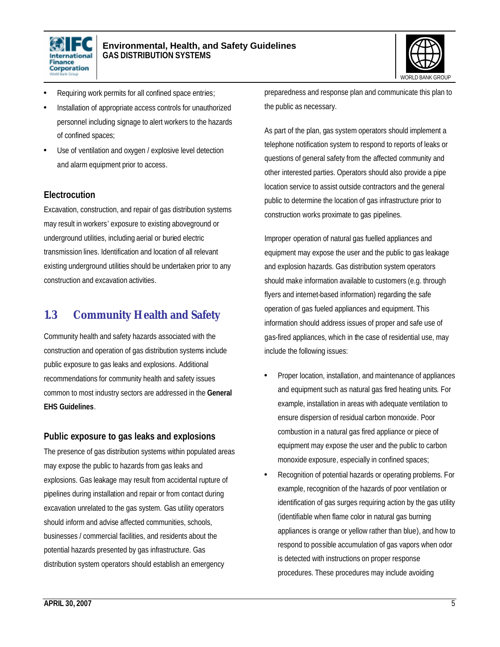



- Requiring work permits for all confined space entries;
- Installation of appropriate access controls for unauthorized personnel including signage to alert workers to the hazards of confined spaces;
- Use of ventilation and oxygen / explosive level detection and alarm equipment prior to access.

#### **Electrocution**

Excavation, construction, and repair of gas distribution systems may result in workers' exposure to existing aboveground or underground utilities, including aerial or buried electric transmission lines. Identification and location of all relevant existing underground utilities should be undertaken prior to any construction and excavation activities.

### **1.3 Community Health and Safety**

Community health and safety hazards associated with the construction and operation of gas distribution systems include public exposure to gas leaks and explosions. Additional recommendations for community health and safety issues common to most industry sectors are addressed in the **General EHS Guidelines**.

#### **Public exposure to gas leaks and explosions**

The presence of gas distribution systems within populated areas may expose the public to hazards from gas leaks and explosions. Gas leakage may result from accidental rupture of pipelines during installation and repair or from contact during excavation unrelated to the gas system. Gas utility operators should inform and advise affected communities, schools, businesses / commercial facilities, and residents about the potential hazards presented by gas infrastructure. Gas distribution system operators should establish an emergency

preparedness and response plan and communicate this plan to the public as necessary.

As part of the plan, gas system operators should implement a telephone notification system to respond to reports of leaks or questions of general safety from the affected community and other interested parties. Operators should also provide a pipe location service to assist outside contractors and the general public to determine the location of gas infrastructure prior to construction works proximate to gas pipelines.

Improper operation of natural gas fuelled appliances and equipment may expose the user and the public to gas leakage and explosion hazards. Gas distribution system operators should make information available to customers (e.g. through flyers and internet-based information) regarding the safe operation of gas fueled appliances and equipment. This information should address issues of proper and safe use of gas-fired appliances, which in the case of residential use, may include the following issues:

- Proper location, installation, and maintenance of appliances and equipment such as natural gas fired heating units. For example, installation in areas with adequate ventilation to ensure dispersion of residual carbon monoxide. Poor combustion in a natural gas fired appliance or piece of equipment may expose the user and the public to carbon monoxide exposure, especially in confined spaces;
- Recognition of potential hazards or operating problems. For example, recognition of the hazards of poor ventilation or identification of gas surges requiring action by the gas utility (identifiable when flame color in natural gas burning appliances is orange or yellow rather than blue), and how to respond to possible accumulation of gas vapors when odor is detected with instructions on proper response procedures. These procedures may include avoiding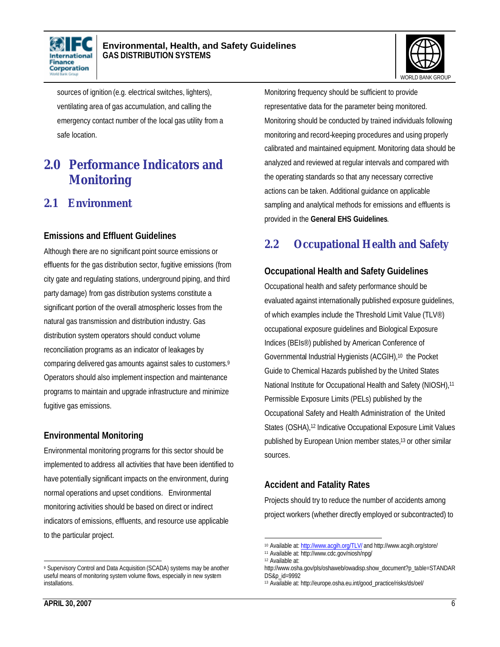



sources of ignition (e.g. electrical switches, lighters), ventilating area of gas accumulation, and calling the emergency contact number of the local gas utility from a safe location.

## **2.0 Performance Indicators and Monitoring**

### **2.1 Environment**

#### **Emissions and Effluent Guidelines**

Although there are no significant point source emissions or effluents for the gas distribution sector, fugitive emissions (from city gate and regulating stations, underground piping, and third party damage) from gas distribution systems constitute a significant portion of the overall atmospheric losses from the natural gas transmission and distribution industry. Gas distribution system operators should conduct volume reconciliation programs as an indicator of leakages by comparing delivered gas amounts against sales to customers.<sup>9</sup> Operators should also implement inspection and maintenance programs to maintain and upgrade infrastructure and minimize fugitive gas emissions.

#### **Environmental Monitoring**

Environmental monitoring programs for this sector should be implemented to address all activities that have been identified to have potentially significant impacts on the environment, during normal operations and upset conditions. Environmental monitoring activities should be based on direct or indirect indicators of emissions, effluents, and resource use applicable to the particular project.

Monitoring frequency should be sufficient to provide representative data for the parameter being monitored. Monitoring should be conducted by trained individuals following monitoring and record-keeping procedures and using properly calibrated and maintained equipment. Monitoring data should be analyzed and reviewed at regular intervals and compared with the operating standards so that any necessary corrective actions can be taken. Additional guidance on applicable sampling and analytical methods for emissions and effluents is provided in the **General EHS Guidelines**.

# **2.2 Occupational Health and Safety**

### **Occupational Health and Safety Guidelines**

Occupational health and safety performance should be evaluated against internationally published exposure guidelines, of which examples include the Threshold Limit Value (TLV®) occupational exposure guidelines and Biological Exposure Indices (BEIs®) published by American Conference of Governmental Industrial Hygienists (ACGIH),<sup>10</sup> the Pocket Guide to Chemical Hazards published by the United States National Institute for Occupational Health and Safety (NIOSH),<sup>11</sup> Permissible Exposure Limits (PELs) published by the Occupational Safety and Health Administration of the United States (OSHA),<sup>12</sup> Indicative Occupational Exposure Limit Values published by European Union member states,13 or other similar sources.

### **Accident and Fatality Rates**

Projects should try to reduce the number of accidents among project workers (whether directly employed or subcontracted) to

 9 Supervisory Control and Data Acquisition (SCADA) systems may be another useful means of monitoring system volume flows, especially in new system installations.

 $\overline{a}$ <sup>10</sup> Available at: http://www.acgih.org/TLV/ and http://www.acgih.org/store/

<sup>11</sup> Available at: http://www.cdc.gov/niosh/npg/

<sup>12</sup> Available at:

http://www.osha.gov/pls/oshaweb/owadisp.show\_document?p\_table=STANDAR DS&p\_id=9992

<sup>13</sup> Available at: http://europe.osha.eu.int/good\_practice/risks/ds/oel/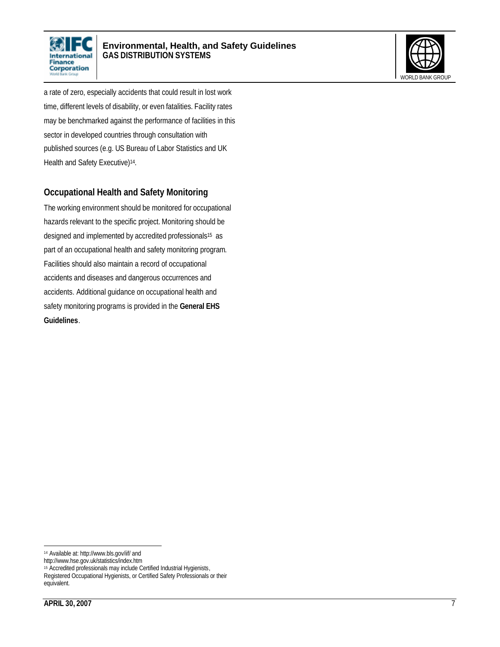



a rate of zero, especially accidents that could result in lost work time, different levels of disability, or even fatalities. Facility rates may be benchmarked against the performance of facilities in this sector in developed countries through consultation with published sources (e.g. US Bureau of Labor Statistics and UK Health and Safety Executive)<sup>14</sup>.

### **Occupational Health and Safety Monitoring**

The working environment should be monitored for occupational hazards relevant to the specific project. Monitoring should be designed and implemented by accredited professionals<sup>15</sup> as part of an occupational health and safety monitoring program. Facilities should also maintain a record of occupational accidents and diseases and dangerous occurrences and accidents. Additional guidance on occupational health and safety monitoring programs is provided in the **General EHS Guidelines**.

<sup>14</sup> Available at: http://www.bls.gov/iif/ and

http://www.hse.gov.uk/statistics/index.htm

<sup>15</sup> Accredited professionals may include Certified Industrial Hygienists, Registered Occupational Hygienists, or Certified Safety Professionals or their equivalent.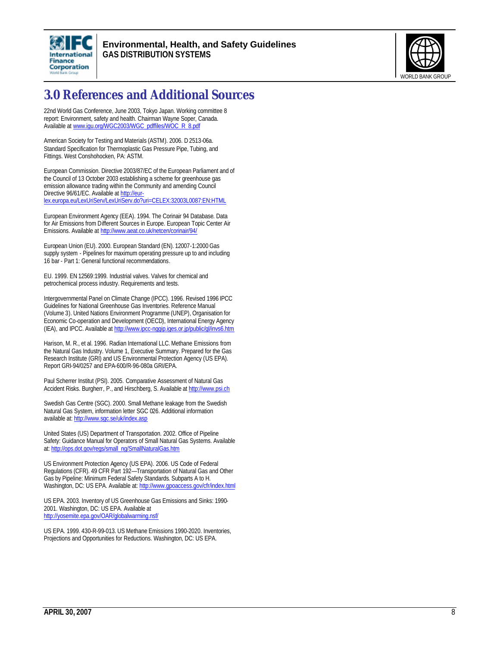



### **3.0 References and Additional Sources**

22nd World Gas Conference, June 2003, Tokyo Japan. Working committee 8 report: Environment, safety and health. Chairman Wayne Soper, Canada. Available at www.igu.org/WGC2003/WGC\_pdffiles/WOC\_R\_8.pdf

American Society for Testing and Materials (ASTM). 2006. D 2513-06a. Standard Specification for Thermoplastic Gas Pressure Pipe, Tubing, and Fittings. West Conshohocken, PA: ASTM.

European Commission. Directive 2003/87/EC of the European Parliament and of the Council of 13 October 2003 establishing a scheme for greenhouse gas emission allowance trading within the Community and amending Council Directive 96/61/EC. Available at http://eurlex.europa.eu/LexUriServ/LexUriServ.do?uri=CELEX:32003L0087:EN:HTML

European Environment Agency (EEA). 1994. The Corinair 94 Database. Data for Air Emissions from Different Sources in Europe. European Topic Center Air Emissions. Available at http://www.aeat.co.uk/netcen/corinair/94/

European Union (EU). 2000. European Standard (EN). 12007-1:2000 Gas supply system - Pipelines for maximum operating pressure up to and including 16 bar - Part 1: General functional recommendations.

EU. 1999. EN 12569:1999. Industrial valves. Valves for chemical and petrochemical process industry. Requirements and tests.

Intergovernmental Panel on Climate Change (IPCC). 1996. Revised 1996 IPCC Guidelines for National Greenhouse Gas Inventories. Reference Manual (Volume 3). United Nations Environment Programme (UNEP), Organisation for Economic Co-operation and Development (OECD), International Energy Agency (IEA), and IPCC. Available at http://www.ipcc-nggip.iges.or.jp/public/gl/invs6.htm

Harison, M. R., et al. 1996. Radian International LLC. Methane Emissions from the Natural Gas Industry. Volume 1, Executive Summary. Prepared for the Gas Research Institute (GRI) and US Environmental Protection Agency (US EPA). Report GRI-94/0257 and EPA-600/R-96-080a GRI/EPA.

Paul Scherrer Institut (PSI). 2005. Comparative Assessment of Natural Gas Accident Risks. Burgherr, P., and Hirschberg, S. Available at http://www.psi.ch

Swedish Gas Centre (SGC). 2000. Small Methane leakage from the Swedish Natural Gas System, information letter SGC 026. Additional information available at: http://www.sgc.se/uk/index.asp

United States (US) Department of Transportation. 2002. Office of Pipeline Safety: Guidance Manual for Operators of Small Natural Gas Systems. Available at: http://ops.dot.gov/regs/small\_ng/SmallNaturalGas.htm

US Environment Protection Agency (US EPA). 2006. US Code of Federal Regulations (CFR). 49 CFR Part 192—Transportation of Natural Gas and Other Gas by Pipeline: Minimum Federal Safety Standards. Subparts A to H. Washington, DC: US EPA. Available at: http://www.gpoaccess.gov/cfr/index.html

US EPA. 2003. Inventory of US Greenhouse Gas Emissions and Sinks: 1990- 2001. Washington, DC: US EPA. Available at http://yosemite.epa.gov/OAR/globalwarming.nsf/

US EPA. 1999. 430-R-99-013. US Methane Emissions 1990-2020. Inventories, Projections and Opportunities for Reductions. Washington, DC: US EPA.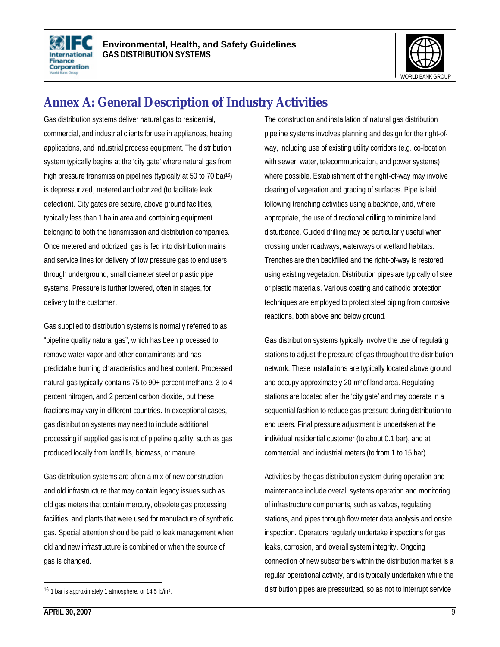



# **Annex A: General Description of Industry Activities**

Gas distribution systems deliver natural gas to residential, commercial, and industrial clients for use in appliances, heating applications, and industrial process equipment. The distribution system typically begins at the 'city gate' where natural gas from high pressure transmission pipelines (typically at 50 to 70 bar<sup>16</sup>) is depressurized, metered and odorized (to facilitate leak detection). City gates are secure, above ground facilities, typically less than 1 ha in area and containing equipment belonging to both the transmission and distribution companies. Once metered and odorized, gas is fed into distribution mains and service lines for delivery of low pressure gas to end users through underground, small diameter steel or plastic pipe systems. Pressure is further lowered, often in stages, for delivery to the customer.

Gas supplied to distribution systems is normally referred to as "pipeline quality natural gas", which has been processed to remove water vapor and other contaminants and has predictable burning characteristics and heat content. Processed natural gas typically contains 75 to 90+ percent methane, 3 to 4 percent nitrogen, and 2 percent carbon dioxide, but these fractions may vary in different countries. In exceptional cases, gas distribution systems may need to include additional processing if supplied gas is not of pipeline quality, such as gas produced locally from landfills, biomass, or manure.

Gas distribution systems are often a mix of new construction and old infrastructure that may contain legacy issues such as old gas meters that contain mercury, obsolete gas processing facilities, and plants that were used for manufacture of synthetic gas. Special attention should be paid to leak management when old and new infrastructure is combined or when the source of gas is changed.

The construction and installation of natural gas distribution pipeline systems involves planning and design for the right-ofway, including use of existing utility corridors (e.g. co-location with sewer, water, telecommunication, and power systems) where possible. Establishment of the right-of-way may involve clearing of vegetation and grading of surfaces. Pipe is laid following trenching activities using a backhoe, and, where appropriate, the use of directional drilling to minimize land disturbance. Guided drilling may be particularly useful when crossing under roadways, waterways or wetland habitats. Trenches are then backfilled and the right-of-way is restored using existing vegetation. Distribution pipes are typically of steel or plastic materials. Various coating and cathodic protection techniques are employed to protect steel piping from corrosive reactions, both above and below ground.

Gas distribution systems typically involve the use of regulating stations to adjust the pressure of gas throughout the distribution network. These installations are typically located above ground and occupy approximately 20 m<sup>2</sup> of land area. Regulating stations are located after the 'city gate' and may operate in a sequential fashion to reduce gas pressure during distribution to end users. Final pressure adjustment is undertaken at the individual residential customer (to about 0.1 bar), and at commercial, and industrial meters (to from 1 to 15 bar).

Activities by the gas distribution system during operation and maintenance include overall systems operation and monitoring of infrastructure components, such as valves, regulating stations, and pipes through flow meter data analysis and onsite inspection. Operators regularly undertake inspections for gas leaks, corrosion, and overall system integrity. Ongoing connection of new subscribers within the distribution market is a regular operational activity, and is typically undertaken while the distribution pipes are pressurized, so as not to interrupt service

 $\overline{a}$ 

<sup>16 1</sup> bar is approximately 1 atmosphere, or 14.5 lb/in<sup>2</sup>.